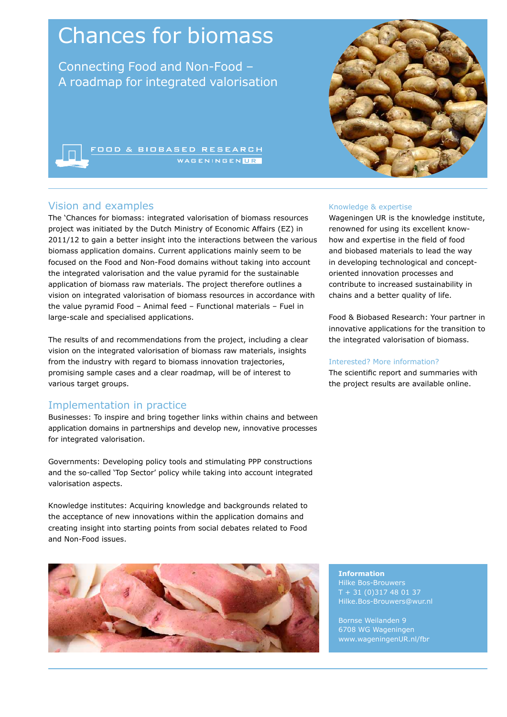# Chances for biomass

Connecting Food and Non-Food – A roadmap for integrated valorisation

**OOD & BIOBASED RESEARCH** 

# Vision and examples

The 'Chances for biomass: integrated valorisation of biomass resources project was initiated by the Dutch Ministry of Economic Affairs (EZ) in 2011/12 to gain a better insight into the interactions between the various biomass application domains. Current applications mainly seem to be focused on the Food and Non-Food domains without taking into account the integrated valorisation and the value pyramid for the sustainable application of biomass raw materials. The project therefore outlines a vision on integrated valorisation of biomass resources in accordance with the value pyramid Food – Animal feed – Functional materials – Fuel in large-scale and specialised applications.

The results of and recommendations from the project, including a clear vision on the integrated valorisation of biomass raw materials, insights from the industry with regard to biomass innovation trajectories, promising sample cases and a clear roadmap, will be of interest to various target groups.

# Implementation in practice

Businesses: To inspire and bring together links within chains and between application domains in partnerships and develop new, innovative processes for integrated valorisation.

Governments: Developing policy tools and stimulating PPP constructions and the so-called 'Top Sector' policy while taking into account integrated valorisation aspects.

Knowledge institutes: Acquiring knowledge and backgrounds related to the acceptance of new innovations within the application domains and creating insight into starting points from social debates related to Food and Non-Food issues.





#### Knowledge & expertise

Wageningen UR is the knowledge institute, renowned for using its excellent knowhow and expertise in the field of food and biobased materials to lead the way in developing technological and conceptoriented innovation processes and contribute to increased sustainability in chains and a better quality of life.

Food & Biobased Research: Your partner in innovative applications for the transition to the integrated valorisation of biomass.

#### Interested? More information?

The scientific report and summaries with the project results are available online.

**Information** Hilke Bos-Brouwers + 31 (0) 317 48 01 37 Hilke.Bos-Brouwers@wur.nl

Bornse Weilanden 9 6708 WG Wageningen www.wageningenUR.nl/fbr